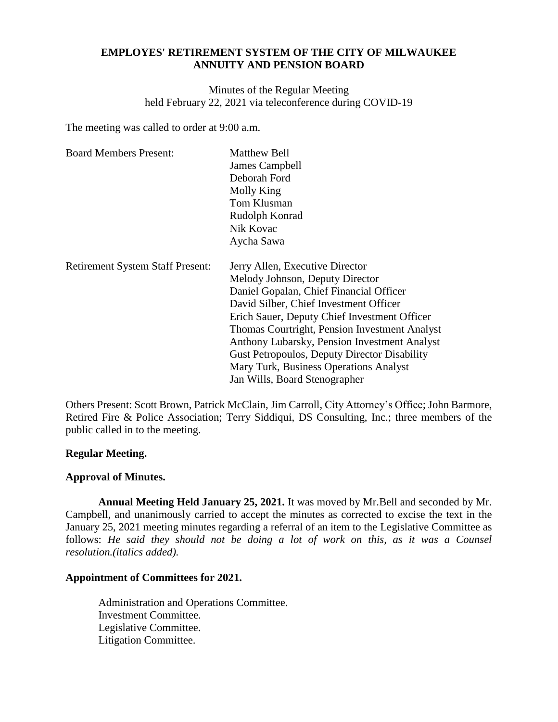# **EMPLOYES' RETIREMENT SYSTEM OF THE CITY OF MILWAUKEE ANNUITY AND PENSION BOARD**

Minutes of the Regular Meeting held February 22, 2021 via teleconference during COVID-19

The meeting was called to order at 9:00 a.m.

| <b>Board Members Present:</b>           | <b>Matthew Bell</b><br>James Campbell<br>Deborah Ford<br>Molly King<br>Tom Klusman<br>Rudolph Konrad<br>Nik Kovac<br>Aycha Sawa                                                                                                                                                                                                                                                                                                            |
|-----------------------------------------|--------------------------------------------------------------------------------------------------------------------------------------------------------------------------------------------------------------------------------------------------------------------------------------------------------------------------------------------------------------------------------------------------------------------------------------------|
| <b>Retirement System Staff Present:</b> | Jerry Allen, Executive Director<br>Melody Johnson, Deputy Director<br>Daniel Gopalan, Chief Financial Officer<br>David Silber, Chief Investment Officer<br>Erich Sauer, Deputy Chief Investment Officer<br>Thomas Courtright, Pension Investment Analyst<br>Anthony Lubarsky, Pension Investment Analyst<br><b>Gust Petropoulos, Deputy Director Disability</b><br>Mary Turk, Business Operations Analyst<br>Jan Wills, Board Stenographer |

Others Present: Scott Brown, Patrick McClain, Jim Carroll, City Attorney's Office; John Barmore, Retired Fire & Police Association; Terry Siddiqui, DS Consulting, Inc.; three members of the public called in to the meeting.

## **Regular Meeting.**

### **Approval of Minutes.**

**Annual Meeting Held January 25, 2021.** It was moved by Mr.Bell and seconded by Mr. Campbell, and unanimously carried to accept the minutes as corrected to excise the text in the January 25, 2021 meeting minutes regarding a referral of an item to the Legislative Committee as follows: He said they should not be doing a lot of work on this, as it was a Counsel *resolution.(italics added).*

## **Appointment of Committees for 2021.**

Administration and Operations Committee. Investment Committee. Legislative Committee. Litigation Committee.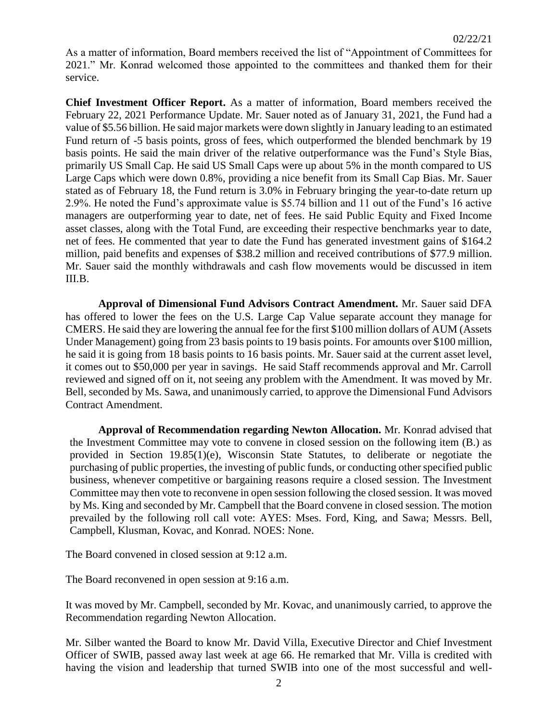As a matter of information, Board members received the list of "Appointment of Committees for 2021." Mr. Konrad welcomed those appointed to the committees and thanked them for their service.

**Chief Investment Officer Report.** As a matter of information, Board members received the February 22, 2021 Performance Update. Mr. Sauer noted as of January 31, 2021, the Fund had a value of \$5.56 billion. He said major markets were down slightly in January leading to an estimated Fund return of -5 basis points, gross of fees, which outperformed the blended benchmark by 19 basis points. He said the main driver of the relative outperformance was the Fund's Style Bias, primarily US Small Cap. He said US Small Caps were up about 5% in the month compared to US Large Caps which were down 0.8%, providing a nice benefit from its Small Cap Bias. Mr. Sauer stated as of February 18, the Fund return is 3.0% in February bringing the year-to-date return up 2.9%. He noted the Fund's approximate value is \$5.74 billion and 11 out of the Fund's 16 active managers are outperforming year to date, net of fees. He said Public Equity and Fixed Income asset classes, along with the Total Fund, are exceeding their respective benchmarks year to date, net of fees. He commented that year to date the Fund has generated investment gains of \$164.2 million, paid benefits and expenses of \$38.2 million and received contributions of \$77.9 million. Mr. Sauer said the monthly withdrawals and cash flow movements would be discussed in item III.B.

**Approval of Dimensional Fund Advisors Contract Amendment.** Mr. Sauer said DFA has offered to lower the fees on the U.S. Large Cap Value separate account they manage for CMERS. He said they are lowering the annual fee for the first \$100 million dollars of AUM (Assets Under Management) going from 23 basis points to 19 basis points. For amounts over \$100 million, he said it is going from 18 basis points to 16 basis points. Mr. Sauer said at the current asset level, it comes out to \$50,000 per year in savings. He said Staff recommends approval and Mr. Carroll reviewed and signed off on it, not seeing any problem with the Amendment. It was moved by Mr. Bell, seconded by Ms. Sawa, and unanimously carried, to approve the Dimensional Fund Advisors Contract Amendment.

**Approval of Recommendation regarding Newton Allocation.** Mr. Konrad advised that the Investment Committee may vote to convene in closed session on the following item (B.) as provided in Section 19.85(1)(e), Wisconsin State Statutes, to deliberate or negotiate the purchasing of public properties, the investing of public funds, or conducting other specified public business, whenever competitive or bargaining reasons require a closed session. The Investment Committee may then vote to reconvene in open session following the closed session. It was moved by Ms. King and seconded by Mr. Campbell that the Board convene in closed session. The motion prevailed by the following roll call vote: AYES: Mses. Ford, King, and Sawa; Messrs. Bell, Campbell, Klusman, Kovac, and Konrad. NOES: None.

The Board convened in closed session at 9:12 a.m.

The Board reconvened in open session at 9:16 a.m.

It was moved by Mr. Campbell, seconded by Mr. Kovac, and unanimously carried, to approve the Recommendation regarding Newton Allocation.

Mr. Silber wanted the Board to know Mr. David Villa, Executive Director and Chief Investment Officer of SWIB, passed away last week at age 66. He remarked that Mr. Villa is credited with having the vision and leadership that turned SWIB into one of the most successful and well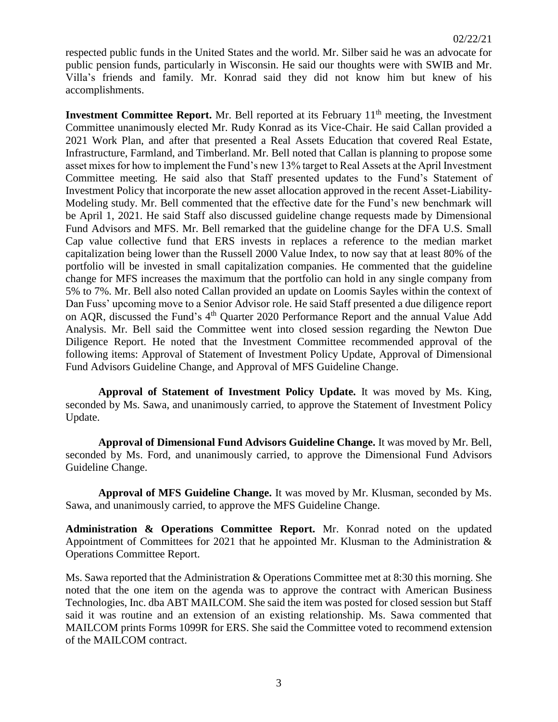respected public funds in the United States and the world. Mr. Silber said he was an advocate for public pension funds, particularly in Wisconsin. He said our thoughts were with SWIB and Mr. Villa's friends and family. Mr. Konrad said they did not know him but knew of his accomplishments.

**Investment Committee Report.** Mr. Bell reported at its February  $11<sup>th</sup>$  meeting, the Investment Committee unanimously elected Mr. Rudy Konrad as its Vice-Chair. He said Callan provided a 2021 Work Plan, and after that presented a Real Assets Education that covered Real Estate, Infrastructure, Farmland, and Timberland. Mr. Bell noted that Callan is planning to propose some asset mixes for how to implement the Fund's new 13% target to Real Assets at the April Investment Committee meeting. He said also that Staff presented updates to the Fund's Statement of Investment Policy that incorporate the new asset allocation approved in the recent Asset-Liability-Modeling study. Mr. Bell commented that the effective date for the Fund's new benchmark will be April 1, 2021. He said Staff also discussed guideline change requests made by Dimensional Fund Advisors and MFS. Mr. Bell remarked that the guideline change for the DFA U.S. Small Cap value collective fund that ERS invests in replaces a reference to the median market capitalization being lower than the Russell 2000 Value Index, to now say that at least 80% of the portfolio will be invested in small capitalization companies. He commented that the guideline change for MFS increases the maximum that the portfolio can hold in any single company from 5% to 7%. Mr. Bell also noted Callan provided an update on Loomis Sayles within the context of Dan Fuss' upcoming move to a Senior Advisor role. He said Staff presented a due diligence report on AQR, discussed the Fund's 4<sup>th</sup> Quarter 2020 Performance Report and the annual Value Add Analysis. Mr. Bell said the Committee went into closed session regarding the Newton Due Diligence Report. He noted that the Investment Committee recommended approval of the following items: Approval of Statement of Investment Policy Update, Approval of Dimensional Fund Advisors Guideline Change, and Approval of MFS Guideline Change.

**Approval of Statement of Investment Policy Update.** It was moved by Ms. King, seconded by Ms. Sawa, and unanimously carried, to approve the Statement of Investment Policy Update.

**Approval of Dimensional Fund Advisors Guideline Change.** It was moved by Mr. Bell, seconded by Ms. Ford, and unanimously carried, to approve the Dimensional Fund Advisors Guideline Change.

**Approval of MFS Guideline Change.** It was moved by Mr. Klusman, seconded by Ms. Sawa, and unanimously carried, to approve the MFS Guideline Change.

**Administration & Operations Committee Report.** Mr. Konrad noted on the updated Appointment of Committees for 2021 that he appointed Mr. Klusman to the Administration & Operations Committee Report.

Ms. Sawa reported that the Administration & Operations Committee met at 8:30 this morning. She noted that the one item on the agenda was to approve the contract with American Business Technologies, Inc. dba ABT MAILCOM. She said the item was posted for closed session but Staff said it was routine and an extension of an existing relationship. Ms. Sawa commented that MAILCOM prints Forms 1099R for ERS. She said the Committee voted to recommend extension of the MAILCOM contract.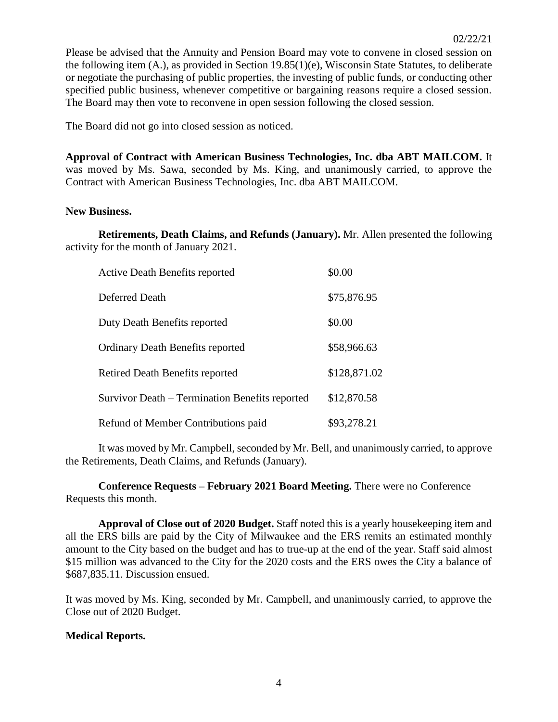Please be advised that the Annuity and Pension Board may vote to convene in closed session on the following item (A.), as provided in Section 19.85(1)(e), Wisconsin State Statutes, to deliberate or negotiate the purchasing of public properties, the investing of public funds, or conducting other specified public business, whenever competitive or bargaining reasons require a closed session. The Board may then vote to reconvene in open session following the closed session.

The Board did not go into closed session as noticed.

**Approval of Contract with American Business Technologies, Inc. dba ABT MAILCOM.** It was moved by Ms. Sawa, seconded by Ms. King, and unanimously carried, to approve the Contract with American Business Technologies, Inc. dba ABT MAILCOM.

## **New Business.**

**Retirements, Death Claims, and Refunds (January).** Mr. Allen presented the following activity for the month of January 2021.

| <b>Active Death Benefits reported</b>          | \$0.00       |
|------------------------------------------------|--------------|
| Deferred Death                                 | \$75,876.95  |
| Duty Death Benefits reported                   | \$0.00       |
| <b>Ordinary Death Benefits reported</b>        | \$58,966.63  |
| Retired Death Benefits reported                | \$128,871.02 |
| Survivor Death – Termination Benefits reported | \$12,870.58  |
| Refund of Member Contributions paid            | \$93,278.21  |

It was moved by Mr. Campbell, seconded by Mr. Bell, and unanimously carried, to approve the Retirements, Death Claims, and Refunds (January).

**Conference Requests – February 2021 Board Meeting.** There were no Conference Requests this month.

**Approval of Close out of 2020 Budget.** Staff noted this is a yearly housekeeping item and all the ERS bills are paid by the City of Milwaukee and the ERS remits an estimated monthly amount to the City based on the budget and has to true-up at the end of the year. Staff said almost \$15 million was advanced to the City for the 2020 costs and the ERS owes the City a balance of \$687,835.11. Discussion ensued.

It was moved by Ms. King, seconded by Mr. Campbell, and unanimously carried, to approve the Close out of 2020 Budget.

## **Medical Reports.**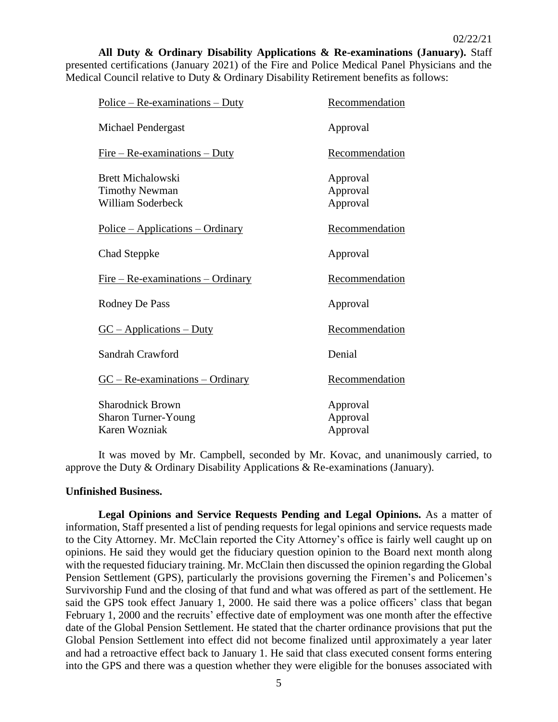**All Duty & Ordinary Disability Applications & Re-examinations (January).** Staff presented certifications (January 2021) of the Fire and Police Medical Panel Physicians and the Medical Council relative to Duty & Ordinary Disability Retirement benefits as follows:

| $Police - Re-examinations - Duty$                                             | Recommendation                   |
|-------------------------------------------------------------------------------|----------------------------------|
| Michael Pendergast                                                            | Approval                         |
| $Fire - Re-examination - Duty$                                                | Recommendation                   |
| <b>Brett Michalowski</b><br><b>Timothy Newman</b><br><b>William Soderbeck</b> | Approval<br>Approval<br>Approval |
| $Police - Applications - Ordinary$                                            | Recommendation                   |
| <b>Chad Steppke</b>                                                           | Approval                         |
| $Fire - Re-examinations - Ordinary$                                           | Recommendation                   |
| Rodney De Pass                                                                | Approval                         |
| $GC - Applications - Duty$                                                    | Recommendation                   |
| Sandrah Crawford                                                              | Denial                           |
| $GC - Re-examinations - Ordinary$                                             | Recommendation                   |
| <b>Sharodnick Brown</b><br><b>Sharon Turner-Young</b><br>Karen Wozniak        | Approval<br>Approval<br>Approval |

It was moved by Mr. Campbell, seconded by Mr. Kovac, and unanimously carried, to approve the Duty & Ordinary Disability Applications & Re-examinations (January).

### **Unfinished Business.**

**Legal Opinions and Service Requests Pending and Legal Opinions.** As a matter of information, Staff presented a list of pending requests for legal opinions and service requests made to the City Attorney. Mr. McClain reported the City Attorney's office is fairly well caught up on opinions. He said they would get the fiduciary question opinion to the Board next month along with the requested fiduciary training. Mr. McClain then discussed the opinion regarding the Global Pension Settlement (GPS), particularly the provisions governing the Firemen's and Policemen's Survivorship Fund and the closing of that fund and what was offered as part of the settlement. He said the GPS took effect January 1, 2000. He said there was a police officers' class that began February 1, 2000 and the recruits' effective date of employment was one month after the effective date of the Global Pension Settlement. He stated that the charter ordinance provisions that put the Global Pension Settlement into effect did not become finalized until approximately a year later and had a retroactive effect back to January 1. He said that class executed consent forms entering into the GPS and there was a question whether they were eligible for the bonuses associated with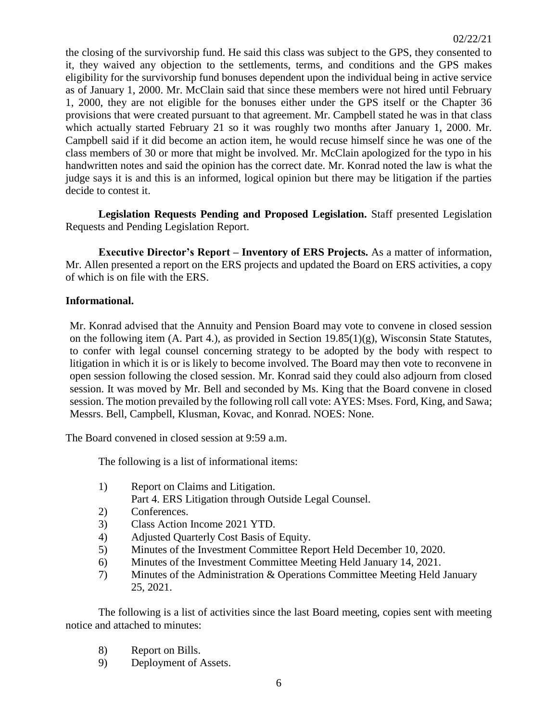the closing of the survivorship fund. He said this class was subject to the GPS, they consented to it, they waived any objection to the settlements, terms, and conditions and the GPS makes eligibility for the survivorship fund bonuses dependent upon the individual being in active service as of January 1, 2000. Mr. McClain said that since these members were not hired until February 1, 2000, they are not eligible for the bonuses either under the GPS itself or the Chapter 36 provisions that were created pursuant to that agreement. Mr. Campbell stated he was in that class which actually started February 21 so it was roughly two months after January 1, 2000. Mr. Campbell said if it did become an action item, he would recuse himself since he was one of the class members of 30 or more that might be involved. Mr. McClain apologized for the typo in his handwritten notes and said the opinion has the correct date. Mr. Konrad noted the law is what the judge says it is and this is an informed, logical opinion but there may be litigation if the parties decide to contest it.

**Legislation Requests Pending and Proposed Legislation.** Staff presented Legislation Requests and Pending Legislation Report.

**Executive Director's Report – Inventory of ERS Projects.** As a matter of information, Mr. Allen presented a report on the ERS projects and updated the Board on ERS activities, a copy of which is on file with the ERS.

# **Informational.**

Mr. Konrad advised that the Annuity and Pension Board may vote to convene in closed session on the following item (A. Part 4.), as provided in Section 19.85(1)(g), Wisconsin State Statutes, to confer with legal counsel concerning strategy to be adopted by the body with respect to litigation in which it is or is likely to become involved. The Board may then vote to reconvene in open session following the closed session. Mr. Konrad said they could also adjourn from closed session. It was moved by Mr. Bell and seconded by Ms. King that the Board convene in closed session. The motion prevailed by the following roll call vote: AYES: Mses. Ford, King, and Sawa; Messrs. Bell, Campbell, Klusman, Kovac, and Konrad. NOES: None.

The Board convened in closed session at 9:59 a.m.

The following is a list of informational items:

- 1) Report on Claims and Litigation. Part 4. ERS Litigation through Outside Legal Counsel.
- 2) Conferences.
- 3) Class Action Income 2021 YTD.
- 4) Adjusted Quarterly Cost Basis of Equity.
- 5) Minutes of the Investment Committee Report Held December 10, 2020.
- 6) Minutes of the Investment Committee Meeting Held January 14, 2021.
- 7) Minutes of the Administration & Operations Committee Meeting Held January 25, 2021.

The following is a list of activities since the last Board meeting, copies sent with meeting notice and attached to minutes:

- 8) Report on Bills.
- 9) Deployment of Assets.